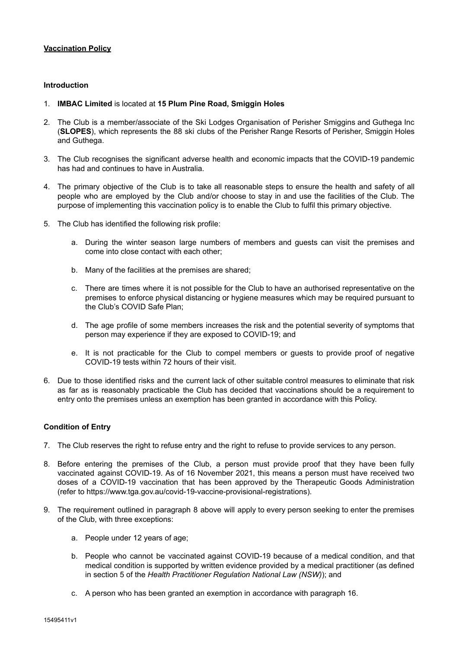# **Vaccination Policy**

### **Introduction**

- 1. **IMBAC Limited** is located at **15 Plum Pine Road, Smiggin Holes**
- 2. The Club is a member/associate of the Ski Lodges Organisation of Perisher Smiggins and Guthega Inc (**SLOPES**), which represents the 88 ski clubs of the Perisher Range Resorts of Perisher, Smiggin Holes and Guthega.
- 3. The Club recognises the significant adverse health and economic impacts that the COVID-19 pandemic has had and continues to have in Australia.
- 4. The primary objective of the Club is to take all reasonable steps to ensure the health and safety of all people who are employed by the Club and/or choose to stay in and use the facilities of the Club. The purpose of implementing this vaccination policy is to enable the Club to fulfil this primary objective.
- 5. The Club has identified the following risk profile:
	- a. During the winter season large numbers of members and guests can visit the premises and come into close contact with each other;
	- b. Many of the facilities at the premises are shared;
	- c. There are times where it is not possible for the Club to have an authorised representative on the premises to enforce physical distancing or hygiene measures which may be required pursuant to the Club's COVID Safe Plan;
	- d. The age profile of some members increases the risk and the potential severity of symptoms that person may experience if they are exposed to COVID-19; and
	- e. It is not practicable for the Club to compel members or guests to provide proof of negative COVID-19 tests within 72 hours of their visit.
- 6. Due to those identified risks and the current lack of other suitable control measures to eliminate that risk as far as is reasonably practicable the Club has decided that vaccinations should be a requirement to entry onto the premises unless an exemption has been granted in accordance with this Policy.

# **Condition of Entry**

- 7. The Club reserves the right to refuse entry and the right to refuse to provide services to any person.
- 8. Before entering the premises of the Club, a person must provide proof that they have been fully vaccinated against COVID-19. As of 16 November 2021, this means a person must have received two doses of a COVID-19 vaccination that has been approved by the Therapeutic Goods Administration (refer to https://www.tga.gov.au/covid-19-vaccine-provisional-registrations).
- 9. The requirement outlined in paragraph 8 above will apply to every person seeking to enter the premises of the Club, with three exceptions:
	- a. People under 12 years of age;
	- b. People who cannot be vaccinated against COVID-19 because of a medical condition, and that medical condition is supported by written evidence provided by a medical practitioner (as defined in section 5 of the *Health Practitioner Regulation National Law (NSW)*); and
	- c. A person who has been granted an exemption in accordance with paragraph 16.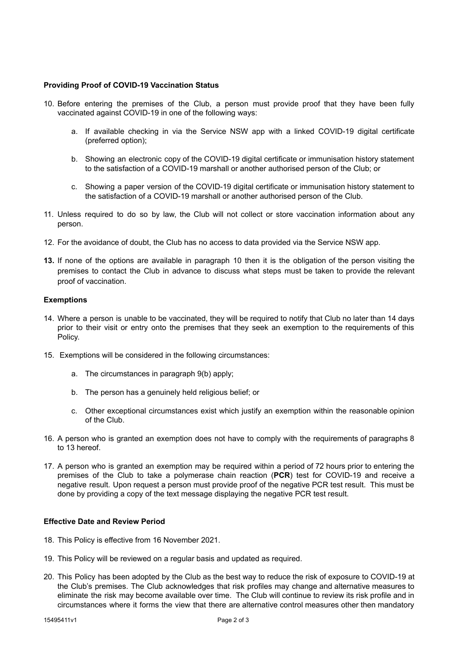#### **Providing Proof of COVID-19 Vaccination Status**

- 10. Before entering the premises of the Club, a person must provide proof that they have been fully vaccinated against COVID-19 in one of the following ways:
	- a. If available checking in via the Service NSW app with a linked COVID-19 digital certificate (preferred option);
	- b. Showing an electronic copy of the COVID-19 digital certificate or immunisation history statement to the satisfaction of a COVID-19 marshall or another authorised person of the Club; or
	- c. Showing a paper version of the COVID-19 digital certificate or immunisation history statement to the satisfaction of a COVID-19 marshall or another authorised person of the Club.
- 11. Unless required to do so by law, the Club will not collect or store vaccination information about any person.
- 12. For the avoidance of doubt, the Club has no access to data provided via the Service NSW app.
- **13.** If none of the options are available in paragraph 10 then it is the obligation of the person visiting the premises to contact the Club in advance to discuss what steps must be taken to provide the relevant proof of vaccination.

#### **Exemptions**

- 14. Where a person is unable to be vaccinated, they will be required to notify that Club no later than 14 days prior to their visit or entry onto the premises that they seek an exemption to the requirements of this Policy.
- 15. Exemptions will be considered in the following circumstances:
	- a. The circumstances in paragraph 9(b) apply;
	- b. The person has a genuinely held religious belief; or
	- c. Other exceptional circumstances exist which justify an exemption within the reasonable opinion of the Club.
- 16. A person who is granted an exemption does not have to comply with the requirements of paragraphs 8 to 13 hereof.
- 17. A person who is granted an exemption may be required within a period of 72 hours prior to entering the premises of the Club to take a polymerase chain reaction (**PCR**) test for COVID-19 and receive a negative result. Upon request a person must provide proof of the negative PCR test result. This must be done by providing a copy of the text message displaying the negative PCR test result.

### **Effective Date and Review Period**

- 18. This Policy is effective from 16 November 2021.
- 19. This Policy will be reviewed on a regular basis and updated as required.
- 20. This Policy has been adopted by the Club as the best way to reduce the risk of exposure to COVID-19 at the Club's premises. The Club acknowledges that risk profiles may change and alternative measures to eliminate the risk may become available over time. The Club will continue to review its risk profile and in circumstances where it forms the view that there are alternative control measures other then mandatory